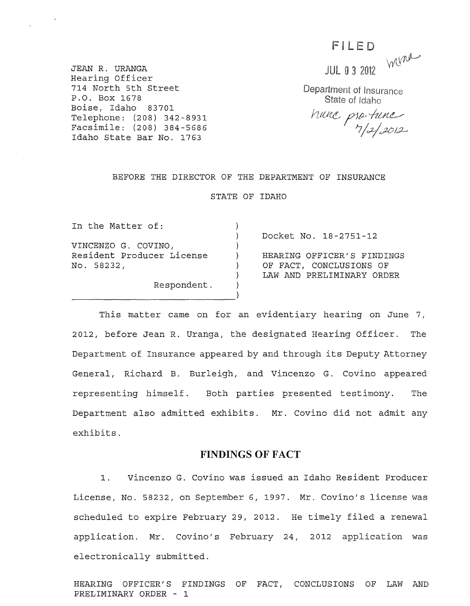FILED

Wine

JEAN R. URANGA Hearing Officer 714 North 5th street P.O. Box 1678 Boise, Idaho 83701 Telephone: (208) 342 -8931 Facsimile: (208) 384-5686 Idaho state Bar No. 1763

**JUL 0 3 2012** 

Department of Insurance State of Idaho

hune protune

#### BEFORE THE DIRECTOR OF THE DEPARTMENT OF INSURANCE

STATE OF IDAHO

| In the Matter of:         |                            |
|---------------------------|----------------------------|
|                           | Docket No. 18-2751-12      |
| VINCENZO G. COVINO,       |                            |
| Resident Producer License | HEARING OFFICER'S FINDINGS |
| No. 58232,                | OF FACT, CONCLUSIONS OF    |
|                           | LAW AND PRELIMINARY ORDER  |
| Respondent.               |                            |
|                           |                            |
|                           |                            |

This matter came on for an evidentiary hearing on June 7, 2012, before Jean R. Uranga, the designated Hearing Officer. The Department of Insurance appeared by and through its Deputy Attorney General, Richard B. Burleigh, and Vincenzo G. Covino appeared representing himself. Both parties presented testimony. The Department also admitted exhibits. Mr. Covino did not admit any exhibits.

### **FINDINGS OF FACT**

1. Vincenzo G. Covino was issued an Idaho Resident Producer License, No. 58232, on September 6, 1997. Mr. Covino's license was scheduled to expire February 29, 2012. He timely filed a renewal application. Mr. Covino's February 24, 2012 application was electronically submitted.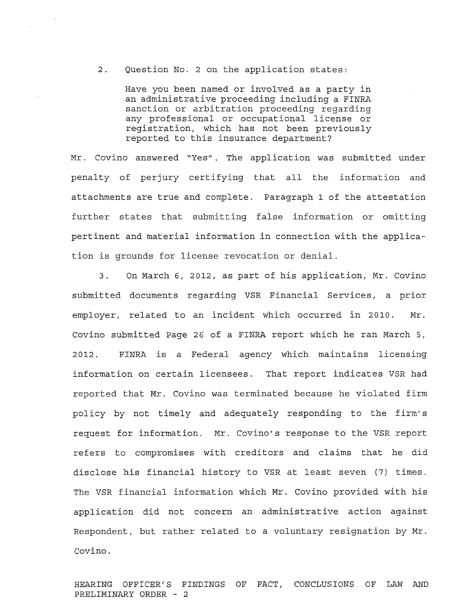2. Question No.2 on the application states:

Have you been named or involved as a party in an administrative proceeding including a FINRA sanction or arbitration proceeding regarding any professional or occupational license or registration, which has not been previously reported to this insurance department?

Mr. Covino answered "Yes". The application was submitted under penalty of perjury certifying that all the information and attachments are true and complete. Paragraph 1 of the attestation further states that submitting false information or omitting pertinent and material information in connection with the application is grounds for license revocation or denial.

3. On March 6, 2012, as part of his application, Mr. Covino submitted documents regarding VSR Financial Services, a prior employer, related to an incident which occurred in 2010. Mr. Covino submitted Page 26 of a FINRA report which he ran March 5, 2012. FINRA is a Federal agency which maintains licensing information on certain licensees. That report indicates VSR had reported that Mr. Covino was terminated because he violated firm policy by not timely and adequately responding to the firm's request for information. Mr. Covino's response to the VSR report refers to compromises with creditors· and claims that he did disclose his financial history to VSR at least seven (7) times. The VSR financial information which Mr. Covino provided with his application did not concern an administrative action against Respondent, but rather related to a voluntary resignation by Mr. Covino.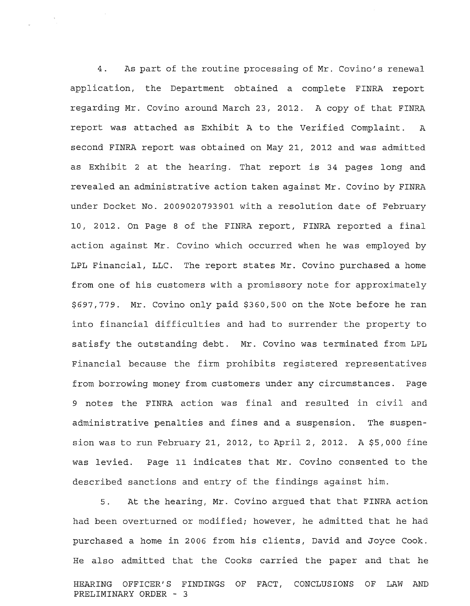4. As part of the routine processing of Mr. Covino's renewal application, the Department obtained a complete FINRA report regarding Mr. Covino around March 23, 2012. A copy of that FINRA report was attached as Exhibit A to the Verified Complaint. A second FINRA report was obtained on May 21, 2012 and was admitted as Exhibit 2 at the hearing. That report is 34 pages long and revealed an administrative action taken against Mr. Covino by FINRA under Docket No. 2009020793901 with a resolution date of February 10, 2012. On Page 8 of the FINRA report, FINRA reported a final action against Mr. Covino which occurred when he was employed by LPL Financial, LLC. The report states Mr. Covino purchased a home from one of his customers with a promissory note for approximately \$697,779. Mr. Covino only paid \$360,500 on the Note before he ran into financial difficulties and had to surrender the property to satisfy the outstanding debt. Mr. Covino was terminated from LPL Financial because the firm prohibits registered representatives from borrowing money from customers under any circumstances. Page 9 notes the FINRA action was final and resulted in civil and administrative penalties and fines and a suspension. The suspension was to run February 21, 2012, to April 2, 2012. A \$5,000 fine was levied. Page 11 indicates that Mr. Covino consented to the described sanctions and entry of the findings against him.

5. At the hearing, Mr. Covino argued that that FINRA action had been overturned or modified; however, he admitted that he had purchased a home in 2006 from his clients, David and Joyce Cook. He also admitted that the Cooks carried the paper and that he HEARING OFFICER'S FINDINGS OF FACT, CONCLUSIONS OF LAW AND PRELIMINARY ORDER - 3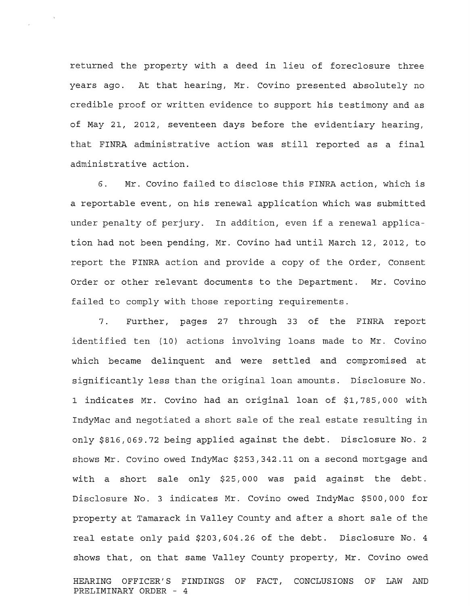returned the property with a deed in lieu of foreclosure three years ago. At that hearing, Mr. Covino presented absolutely no credible proof or written evidence to support his testimony and as of May 21, 2012, seventeen days before the evidentiary hearing, that FINRA administrative action was still reported as a final administrative action.

6. Mr. Covino failed to disclose this FINRA action, which is a reportable event, on his renewal application which was submitted under penalty of perjury. In addition, even if a renewal application had not been pending, Mr. Covino had until March 12, 2012, to report the FINRA action and provide a copy of the Order, Consent Order or other relevant documents to the Department. Mr. Covino failed to comply with those reporting requirements.

7. Further, pages 27 through 33 of the FINRA report identified ten (10) actions involving loans made to Mr. Covino which became delinquent and were settled and compromised at significantly less than the original loan amounts. Disclosure No. 1 indicates Mr. Covino had an original loan of \$1,785,000 with IndyMac and negotiated a short sale of the real estate resulting in only \$816,069.72 being applied against the debt. Disclosure No.2 shows Mr. Covino owed IndyMac \$253,342.11 on a second mortgage and with a short sale only \$25,000 was paid against the debt. Disclosure NO.3 indicates Mr. Covino owed IndyMac \$500,000 for property at Tamarack in Valley County and after a short sale of the real estate only paid \$203,604.26 of the debt. Disclosure No.4 shows that, on that same Valley County property, Mr. Covino owed HEARING OFFICER'S FINDINGS OF FACT, CONCLUSIONS OF LAW AND PRELIMINARY ORDER - 4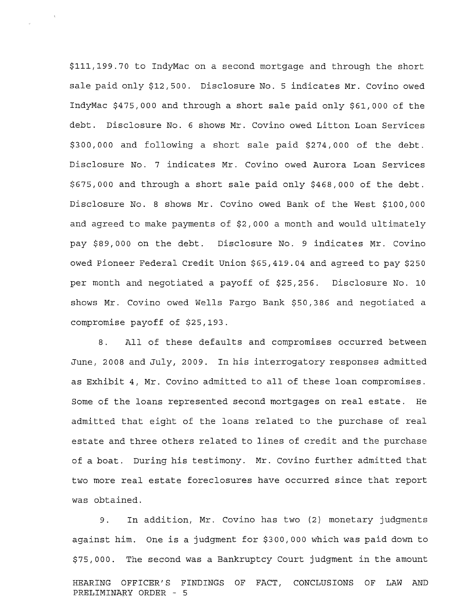\$111,199.70 to IndyMac on a second mortgage and through the short sale paid only \$12,500. Disclosure No. 5 indicates Mr. Covino owed IndyMac \$475,000 and through a short sale paid only \$61,000 of the debt. Disclosure No.6 shows Mr. Covino owed Litton Loan Services \$300,000 and following a short sale paid \$274,000 of the debt. Disclosure No. 7 indicates Mr. Covino owed Aurora Loan Services \$675,000 and through a short sale paid only \$468,000 of the debt. Disclosure No.8 shows Mr. Covino owed Bank of the West \$100,000 and agreed to make payments of \$2,000 a month and would ultimately pay \$89,000 on the debt. Disclosure No. 9 indicates Mr. Covino owed Pioneer Federal Credit Union \$65,419.04 and agreed to pay \$250 per month and negotiated a payoff of \$25,256. Disclosure No. 10 shows Mr. Covino owed Wells Fargo Bank \$50,386 and negotiated a compromise payoff of \$25,193.

8. All of these defaults and compromises occurred between June, 2008 and July, 2009. In his interrogatory responses admitted as Exhibit 4, Mr. Covino admitted to all of these loan compromises. Some of the loans represented second mortgages on real estate. He admitted that eight of the loans related to the purchase of real estate and three others related to lines of credit and the purchase of a boat. During his testimony. Mr. Covino further admitted that two more real estate foreclosures have occurred since that report was obtained.

9. In addition, Mr. Covino has two (2) monetary judgments against him. One is a judgment for \$300,000 which was paid down to \$75,000. The second was a Bankruptcy Court judgment in the amount HEARING OFFICER'S FINDINGS OF FACT, CONCLUSIONS OF LAW AND PRELIMINARY ORDER - 5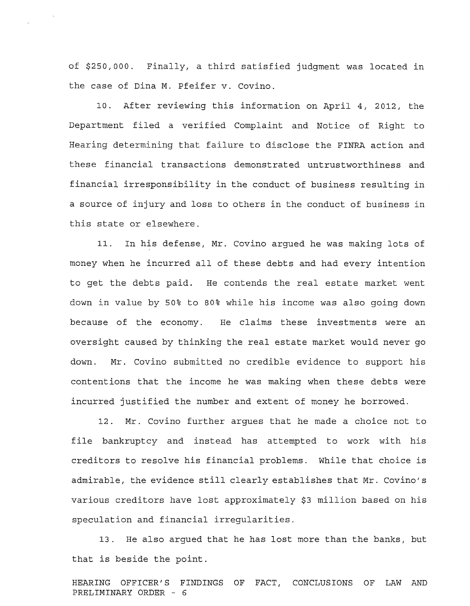of \$250,000. Finally, a third satisfied judgment was located in the case of Dina M. Pfeifer v. Covino.

10. After reviewing this information on April 4, 2012, the Department filed a verified Complaint and Notice of Right to Hearing determining that failure to disclose the FINRA action and these financial transactions demonstrated untrustworthiness and financial irresponsibility in the conduct of business resulting in a source of injury and loss to others in the conduct of business in this state or elsewhere.

11. In his defense, Mr. Covino argued he was making lots of money when he incurred all of these debts and had every intention to get the debts paid. He contends the real estate market went down in value by 50% to 80% while his income was also going down because of the economy. He claims these investments were an oversight caused by thinking the real estate market would never go down. Mr. Covino submitted no credible evidence to support his contentions that the income he was making when these debts were incurred justified the number and extent of money he borrowed.

12. Mr. Covino further argues that he made a choice not to file bankruptcy and instead has attempted to work with his creditors to resolve his financial problems. While that choice is admirable, the evidence still clearly establishes that Mr. Covino's various creditors have lost approximately \$3 million based on his speculation and financial irregularities.

13. He also argued that he has lost more than the banks, but that is beside the point.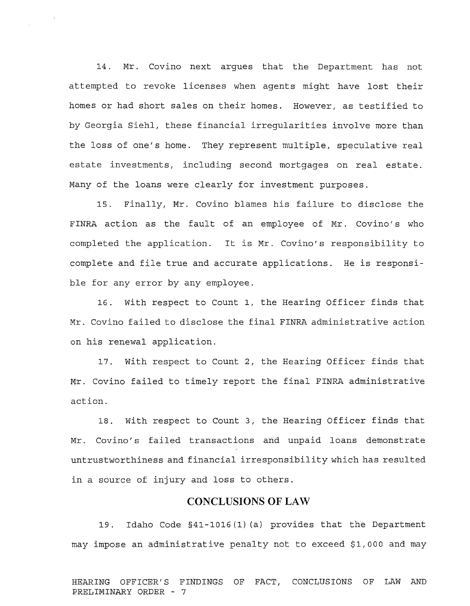14. Mr. Covino next argues that the Department has not attempted to revoke licenses when agents might have lost their homes or had short sales on their homes. However, as testified to by Georgia Siehl, these financial irregularities involve more than the loss of one's home. They represent multiple, speculative real estate investments, including second mortgages on real estate. Many of the loans were clearly for investment purposes.

15. Finally, Mr. Covino blames his failure to disclose the FINRA action as the fault of an employee of Mr. Covino's who completed the application. It is Mr. Covino's responsibility to complete and file true and accurate applications. He is responsible for any error by any employee.

16. with respect to Count 1, the Hearing Officer finds that Mr. Covino failed to disclose the final FINRA administrative action on his renewal application.

17. With respect to Count 2, the Hearing Officer finds that Mr. Covino failed to timely report the final FINRA administrative action.

18. With respect to Count 3, the Hearing Officer finds that Mr. Covino's failed transactions and unpaid loans demonstrate untrustworthiness and financial irresponsibility which has resulted in a source of injury and loss to others.

# **CONCLUSIONS OF LAW**

19. Idaho Code §41-1016 (1) (a) provides that the Department may impose an administrative penalty not to exceed \$1,000 and may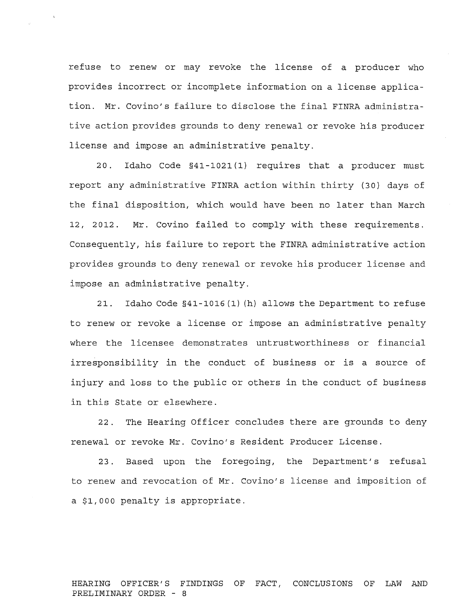refuse to renew or may revoke the license of a producer who provides incorrect or incomplete information on a license application. Mr. Covino's failure to disclose the final FINRA administrative action provides grounds to deny renewal or revoke his producer license and impose an administrative penalty.

20. Idaho Code §41-1021 (1) requires that a producer must report any administrative FINRA action within thirty (30) days of the final disposition, which would have been no later than March 12, 2012. Mr. Covino failed to comply with these requirements. Consequently, his failure to report the FINRA administrative action provides grounds to deny renewal or revoke his producer license and impose an administrative penalty.

21. Idaho Code §41-1016 (1) (h) allows the Department to refuse to renew or revoke a license or impose an administrative penalty where the licensee demonstrates untrustworthiness or financial irresponsibility in the conduct of business or is a source of injury and loss to the public or others in the conduct of business in this State or elsewhere.

22. The Hearing Officer concludes there are grounds to deny renewal or revoke Mr. Covino's Resident Producer License.

23. Based upon the foregoing, the Department's refusal to renew and revocation of Mr. Covino's license and imposition of a \$1,000 penalty is appropriate.